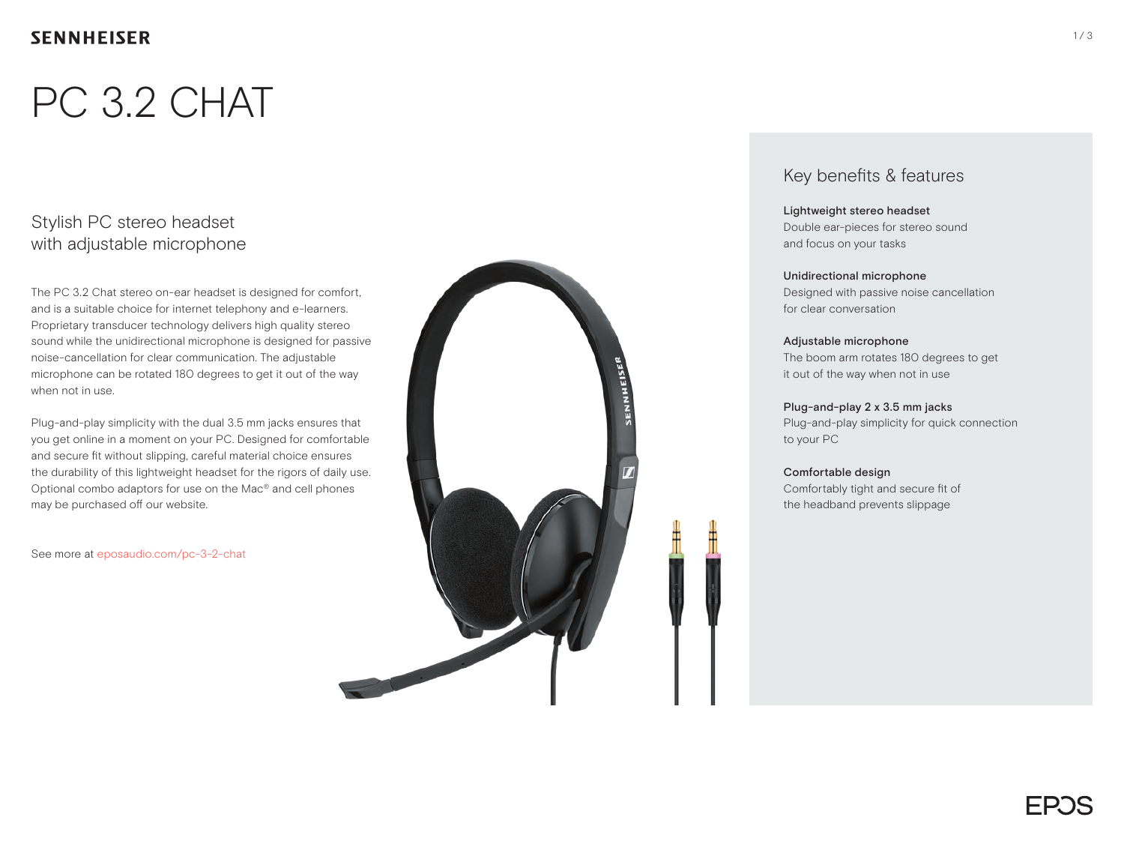## **SENNHEISER**

# PC 3.2 CHAT

## Stylish PC stereo headset with adjustable microphone

The PC 3.2 Chat stereo on-ear headset is designed for comfort, and is a suitable choice for internet telephony and e-learners. Proprietary transducer technology delivers high quality stereo sound while the unidirectional microphone is designed for passive noise-cancellation for clear communication. The adjustable microphone can be rotated 180 degrees to get it out of the way when not in use.

Plug-and-play simplicity with the dual 3.5 mm jacks ensures that you get online in a moment on your PC. Designed for comfortable and secure fit without slipping, careful material choice ensures the durability of this lightweight headset for the rigors of daily use. Optional combo adaptors for use on the Mac® and cell phones may be purchased off our website.

See more at eposaudio.com/pc-3-2-chat



### Key benefits & features

#### Lightweight stereo headset

Double ear-pieces for stereo sound and focus on your tasks

#### Unidirectional microphone

Designed with passive noise cancellation for clear conversation

#### Adjustable microphone

The boom arm rotates 180 degrees to get it out of the way when not in use

#### Plug-and-play 2 x 3.5 mm jacks

Plug-and-play simplicity for quick connection to your PC

#### Comfortable design

Comfortably tight and secure fit of the headband prevents slippage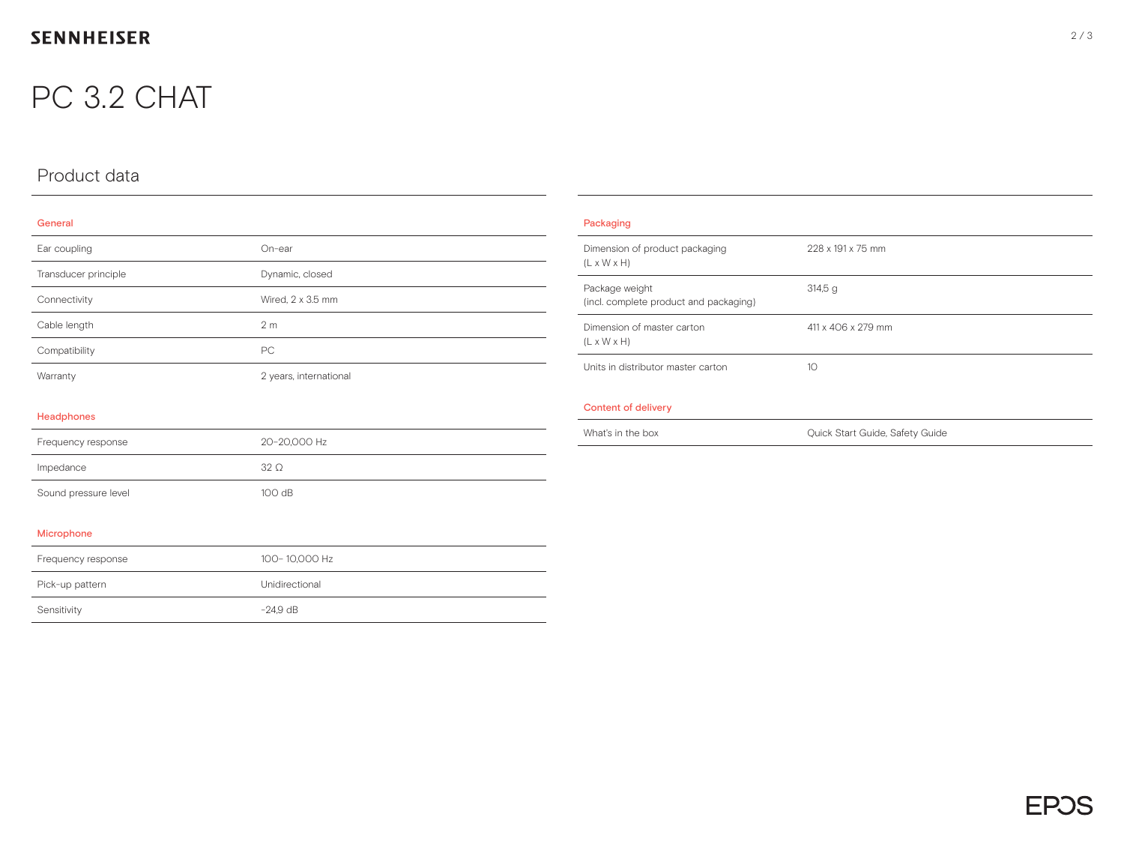## **SENNHEISER**

## PC 3.2 CHAT

## Product data

| . |  |  |
|---|--|--|

| Ear coupling         | On-ear                 |
|----------------------|------------------------|
| Transducer principle | Dynamic, closed        |
| Connectivity         | Wired, 2 x 3.5 mm      |
| Cable length         | 2 <sub>m</sub>         |
| Compatibility        | PC                     |
| Warranty             | 2 years, international |
|                      |                        |
| <b>Headphones</b>    |                        |
| Frequency response   | 20-20,000 Hz           |
| Impedance            | $32\Omega$             |
| Sound pressure level | 100 dB                 |
|                      |                        |
| Microphone           |                        |
| Frequency response   | 100-10,000 Hz          |
| Pick-up pattern      | Unidirectional         |
| Sensitivity          | $-24.9$ dB             |
|                      |                        |

| Packaging                                                 |                                 |
|-----------------------------------------------------------|---------------------------------|
| Dimension of product packaging<br>$(L \times W \times H)$ | 228 x 191 x 75 mm               |
| Package weight<br>(incl. complete product and packaging)  | 314,5g                          |
| Dimension of master carton<br>$(L \times W \times H)$     | 411 x 406 x 279 mm              |
| Units in distributor master carton                        | 10 <sup>°</sup>                 |
| <b>Content of delivery</b>                                |                                 |
| What's in the box                                         | Quick Start Guide, Safety Guide |
|                                                           |                                 |
|                                                           |                                 |